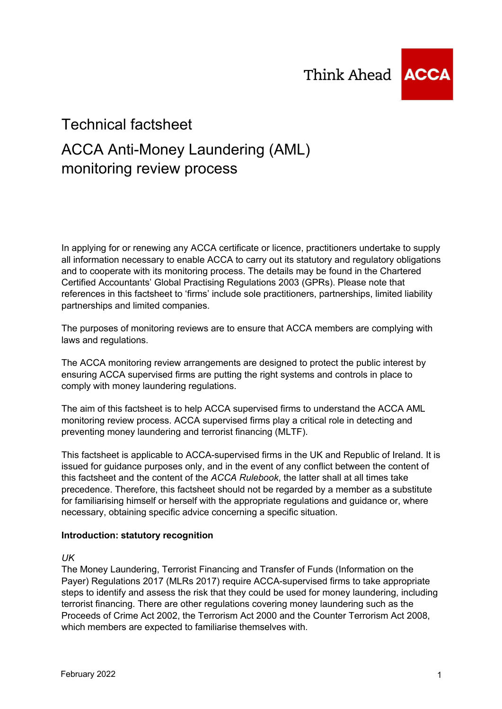

# Technical factsheet

# ACCA Anti-Money Laundering (AML) monitoring review process

In applying for or renewing any ACCA certificate or licence, practitioners undertake to supply all information necessary to enable ACCA to carry out its statutory and regulatory obligations and to cooperate with its monitoring process. The details may be found in the Chartered Certified Accountants' Global Practising Regulations 2003 (GPRs). Please note that references in this factsheet to 'firms' include sole practitioners, partnerships, limited liability partnerships and limited companies.

The purposes of monitoring reviews are to ensure that ACCA members are complying with laws and regulations.

The ACCA monitoring review arrangements are designed to protect the public interest by ensuring ACCA supervised firms are putting the right systems and controls in place to comply with money laundering regulations.

The aim of this factsheet is to help ACCA supervised firms to understand the ACCA AML monitoring review process. ACCA supervised firms play a critical role in detecting and preventing money laundering and terrorist financing (MLTF).

This factsheet is applicable to ACCA-supervised firms in the UK and Republic of Ireland. It is issued for guidance purposes only, and in the event of any conflict between the content of this factsheet and the content of the *ACCA Rulebook*, the latter shall at all times take precedence. Therefore, this factsheet should not be regarded by a member as a substitute for familiarising himself or herself with the appropriate regulations and guidance or, where necessary, obtaining specific advice concerning a specific situation.

#### **Introduction: statutory recognition**

*UK*

The Money Laundering, Terrorist Financing and Transfer of Funds (Information on the Payer) Regulations 2017 (MLRs 2017) require ACCA-supervised firms to take appropriate steps to identify and assess the risk that they could be used for money laundering, including terrorist financing. There are other regulations covering money laundering such as the Proceeds of Crime Act 2002, the Terrorism Act 2000 and the Counter Terrorism Act 2008, which members are expected to familiarise themselves with.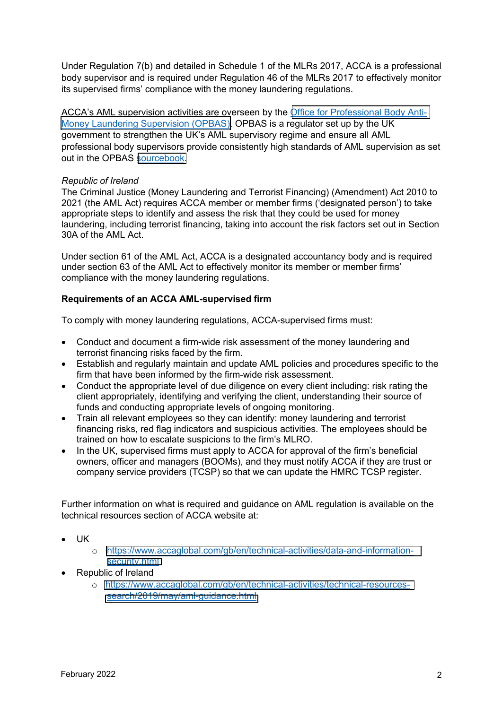Under Regulation 7(b) and detailed in Schedule 1 of the MLRs 2017, ACCA is a professional body supervisor and is required under Regulation 46 of the MLRs 2017 to effectively monitor its supervised firms' compliance with the money laundering regulations.

ACCA's AML supervision activities are overseen by the [Office for Professional Body Anti-](https://www.fca.org.uk/opbas)[Money Laundering Supervision \(OPBAS\).](https://www.fca.org.uk/opbas) OPBAS is a regulator set up by the UK government to strengthen the UK's AML supervisory regime and ensure all AML professional body supervisors provide consistently high standards of AML supervision as set out in the OPBAS [sourcebook.](https://www.fca.org.uk/publication/opbas/opbas-sourcebook.pdf)

## *Republic of Ireland*

The Criminal Justice (Money Laundering and Terrorist Financing) (Amendment) Act 2010 to 2021 (the AML Act) requires ACCA member or member firms ('designated person') to take appropriate steps to identify and assess the risk that they could be used for money laundering, including terrorist financing, taking into account the risk factors set out in Section 30A of the AML Act.

Under section 61 of the AML Act, ACCA is a designated accountancy body and is required under section 63 of the AML Act to effectively monitor its member or member firms' compliance with the money laundering regulations.

## **Requirements of an ACCA AML-supervised firm**

To comply with money laundering regulations, ACCA-supervised firms must:

- Conduct and document a firm-wide risk assessment of the money laundering and terrorist financing risks faced by the firm.
- Establish and regularly maintain and update AML policies and procedures specific to the firm that have been informed by the firm-wide risk assessment.
- Conduct the appropriate level of due diligence on every client including: risk rating the client appropriately, identifying and verifying the client, understanding their source of funds and conducting appropriate levels of ongoing monitoring.
- Train all relevant employees so they can identify: money laundering and terrorist financing risks, red flag indicators and suspicious activities. The employees should be trained on how to escalate suspicions to the firm's MLRO.
- In the UK, supervised firms must apply to ACCA for approval of the firm's beneficial owners, officer and managers (BOOMs), and they must notify ACCA if they are trust or company service providers (TCSP) so that we can update the HMRC TCSP register.

Further information on what is required and guidance on AML regulation is available on the technical resources section of ACCA website at:

- UK
	- o [https://www.accaglobal.com/gb/en/technical-activities/data-and-information](https://www.accaglobal.com/gb/en/technical-activities/data-and-information-security.html)[security.html](https://www.accaglobal.com/gb/en/technical-activities/data-and-information-security.html)
- Republic of Ireland
	- o [https://www.accaglobal.com/gb/en/technical-activities/technical-resources](https://www.accaglobal.com/gb/en/technical-activities/technical-resources-search/2019/may/aml-guidance.html)[search/2019/may/aml-guidance.html](https://www.accaglobal.com/gb/en/technical-activities/technical-resources-search/2019/may/aml-guidance.html)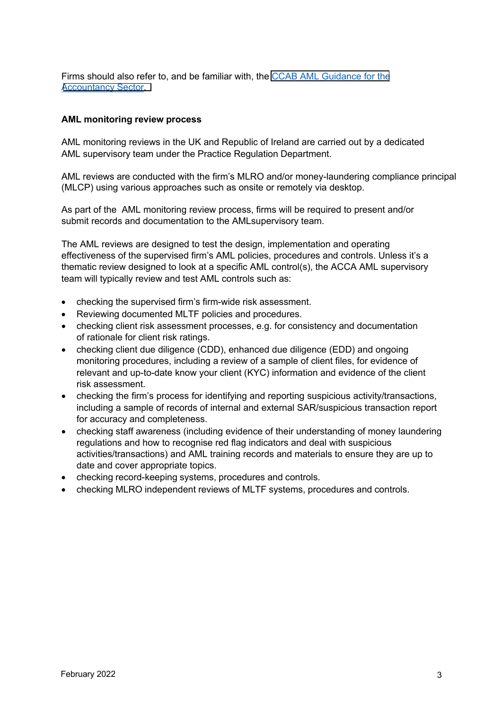Firms should also refer to, and be familiar with, the [CCAB AML Guidance for the](https://www.ccab.org.uk/wp-content/uploads/2020/09/AMLGuidance2020.pdf) [Accountancy](https://www.ccab.org.uk/wp-content/uploads/2020/09/AMLGuidance2020.pdf) Sector.

#### **AML monitoring review process**

AML monitoring reviews in the UK and Republic of Ireland are carried out by a dedicated AML supervisory team under the Practice Regulation Department.

AML reviews are conducted with the firm's MLRO and/or money-laundering compliance principal (MLCP) using various approaches such as onsite or remotely via desktop.

As part of the AML monitoring review process, firms will be required to present and/or submit records and documentation to the AMLsupervisory team.

The AML reviews are designed to test the design, implementation and operating effectiveness of the supervised firm's AML policies, procedures and controls. Unless it's a thematic review designed to look at a specific AML control(s), the ACCA AML supervisory team will typically review and test AML controls such as:

- checking the supervised firm's firm-wide risk assessment.
- Reviewing documented MLTF policies and procedures.
- checking client risk assessment processes, e.g. for consistency and documentation of rationale for client risk ratings.
- checking client due diligence (CDD), enhanced due diligence (EDD) and ongoing monitoring procedures, including a review of a sample of client files, for evidence of relevant and up-to-date know your client (KYC) information and evidence of the client risk assessment.
- checking the firm's process for identifying and reporting suspicious activity/transactions, including a sample of records of internal and external SAR/suspicious transaction report for accuracy and completeness.
- checking staff awareness (including evidence of their understanding of money laundering regulations and how to recognise red flag indicators and deal with suspicious activities/transactions) and AML training records and materials to ensure they are up to date and cover appropriate topics.
- checking record-keeping systems, procedures and controls.
- checking MLRO independent reviews of MLTF systems, procedures and controls.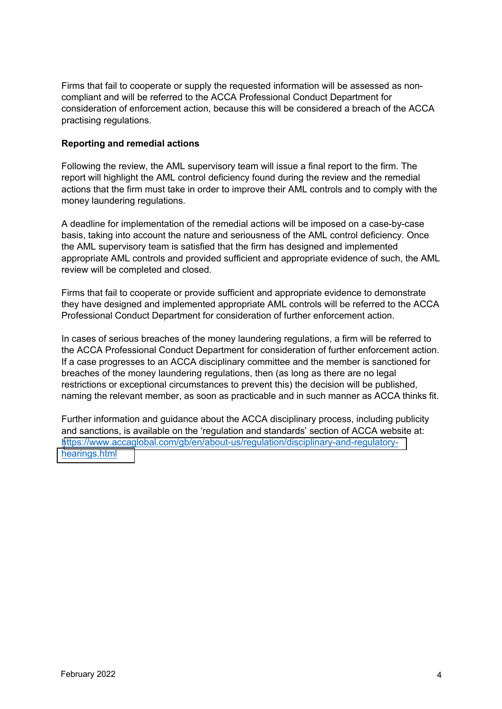Firms that fail to cooperate or supply the requested information will be assessed as noncompliant and will be referred to the ACCA Professional Conduct Department for consideration of enforcement action, because this will be considered a breach of the ACCA practising regulations.

## **Reporting and remedial actions**

Following the review, the AML supervisory team will issue a final report to the firm. The report will highlight the AML control deficiency found during the review and the remedial actions that the firm must take in order to improve their AML controls and to comply with the money laundering regulations.

A deadline for implementation of the remedial actions will be imposed on a case-by-case basis, taking into account the nature and seriousness of the AML control deficiency. Once the AML supervisory team is satisfied that the firm has designed and implemented appropriate AML controls and provided sufficient and appropriate evidence of such, the AML review will be completed and closed.

Firms that fail to cooperate or provide sufficient and appropriate evidence to demonstrate they have designed and implemented appropriate AML controls will be referred to the ACCA Professional Conduct Department for consideration of further enforcement action.

In cases of serious breaches of the money laundering regulations, a firm will be referred to the ACCA Professional Conduct Department for consideration of further enforcement action. If a case progresses to an ACCA disciplinary committee and the member is sanctioned for breaches of the money laundering regulations, then (as long as there are no legal restrictions or exceptional circumstances to prevent this) the decision will be published, naming the relevant member, as soon as practicable and in such manner as ACCA thinks fit.

Further information and guidance about the ACCA disciplinary process, including publicity and sanctions, is available on the 'regulation and standards' section of ACCA website at: [https://www.accaglobal.com/gb/en/about-us/regulation/disciplinary-and-regulatory](https://www.accaglobal.com/gb/en/about-us/regulation/disciplinary-and-regulatory-hearings.html)[hearings.html](https://www.accaglobal.com/gb/en/about-us/regulation/disciplinary-and-regulatory-hearings.html)